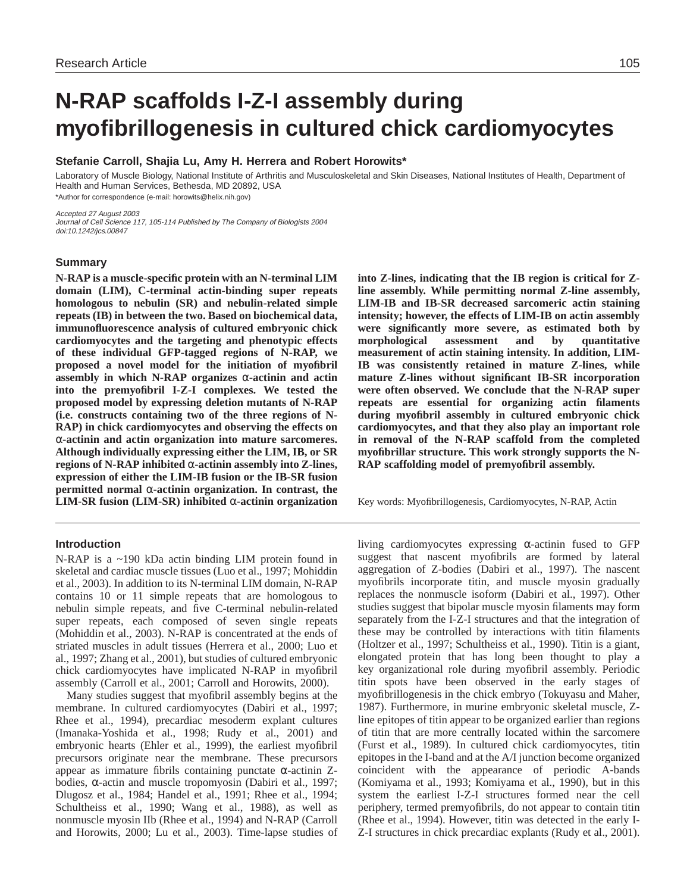# **N-RAP scaffolds I-Z-I assembly during myofibrillogenesis in cultured chick cardiomyocytes**

# **Stefanie Carroll, Shajia Lu, Amy H. Herrera and Robert Horowits\***

Laboratory of Muscle Biology, National Institute of Arthritis and Musculoskeletal and Skin Diseases, National Institutes of Health, Department of Health and Human Services, Bethesda, MD 20892, USA \*Author for correspondence (e-mail: horowits@helix.nih.gov)

Accepted 27 August 2003 Journal of Cell Science 117, 105-114 Published by The Company of Biologists 2004 doi:10.1242/jcs.00847

# **Summary**

**N-RAP is a muscle-specific protein with an N-terminal LIM domain (LIM), C-terminal actin-binding super repeats homologous to nebulin (SR) and nebulin-related simple repeats (IB) in between the two. Based on biochemical data, immunofluorescence analysis of cultured embryonic chick cardiomyocytes and the targeting and phenotypic effects of these individual GFP-tagged regions of N-RAP, we proposed a novel model for the initiation of myofibril assembly in which N-RAP organizes** α**-actinin and actin into the premyofibril I-Z-I complexes. We tested the proposed model by expressing deletion mutants of N-RAP (i.e. constructs containing two of the three regions of N-RAP) in chick cardiomyocytes and observing the effects on** α**-actinin and actin organization into mature sarcomeres. Although individually expressing either the LIM, IB, or SR regions of N-RAP inhibited** α**-actinin assembly into Z-lines, expression of either the LIM-IB fusion or the IB-SR fusion permitted normal** α**-actinin organization. In contrast, the LIM-SR fusion (LIM-SR) inhibited** α**-actinin organization**

# **Introduction**

N-RAP is a ~190 kDa actin binding LIM protein found in skeletal and cardiac muscle tissues (Luo et al., 1997; Mohiddin et al., 2003). In addition to its N-terminal LIM domain, N-RAP contains 10 or 11 simple repeats that are homologous to nebulin simple repeats, and five C-terminal nebulin-related super repeats, each composed of seven single repeats (Mohiddin et al., 2003). N-RAP is concentrated at the ends of striated muscles in adult tissues (Herrera et al., 2000; Luo et al., 1997; Zhang et al., 2001), but studies of cultured embryonic chick cardiomyocytes have implicated N-RAP in myofibril assembly (Carroll et al., 2001; Carroll and Horowits, 2000).

Many studies suggest that myofibril assembly begins at the membrane. In cultured cardiomyocytes (Dabiri et al., 1997; Rhee et al., 1994), precardiac mesoderm explant cultures (Imanaka-Yoshida et al., 1998; Rudy et al., 2001) and embryonic hearts (Ehler et al., 1999), the earliest myofibril precursors originate near the membrane. These precursors appear as immature fibrils containing punctate α-actinin Zbodies, α-actin and muscle tropomyosin (Dabiri et al., 1997; Dlugosz et al., 1984; Handel et al., 1991; Rhee et al., 1994; Schultheiss et al., 1990; Wang et al., 1988), as well as nonmuscle myosin IIb (Rhee et al., 1994) and N-RAP (Carroll and Horowits, 2000; Lu et al., 2003). Time-lapse studies of **into Z-lines, indicating that the IB region is critical for Zline assembly. While permitting normal Z-line assembly, LIM-IB and IB-SR decreased sarcomeric actin staining intensity; however, the effects of LIM-IB on actin assembly were significantly more severe, as estimated both by morphological assessment and by quantitative measurement of actin staining intensity. In addition, LIM-IB was consistently retained in mature Z-lines, while mature Z-lines without significant IB-SR incorporation were often observed. We conclude that the N-RAP super repeats are essential for organizing actin filaments during myofibril assembly in cultured embryonic chick cardiomyocytes, and that they also play an important role in removal of the N-RAP scaffold from the completed myofibrillar structure. This work strongly supports the N-RAP scaffolding model of premyofibril assembly.**

Key words: Myofibrillogenesis, Cardiomyocytes, N-RAP, Actin

living cardiomyocytes expressing α-actinin fused to GFP suggest that nascent myofibrils are formed by lateral aggregation of Z-bodies (Dabiri et al., 1997). The nascent myofibrils incorporate titin, and muscle myosin gradually replaces the nonmuscle isoform (Dabiri et al., 1997). Other studies suggest that bipolar muscle myosin filaments may form separately from the I-Z-I structures and that the integration of these may be controlled by interactions with titin filaments (Holtzer et al., 1997; Schultheiss et al., 1990). Titin is a giant, elongated protein that has long been thought to play a key organizational role during myofibril assembly. Periodic titin spots have been observed in the early stages of myofibrillogenesis in the chick embryo (Tokuyasu and Maher, 1987). Furthermore, in murine embryonic skeletal muscle, Zline epitopes of titin appear to be organized earlier than regions of titin that are more centrally located within the sarcomere (Furst et al., 1989). In cultured chick cardiomyocytes, titin epitopes in the I-band and at the A/I junction become organized coincident with the appearance of periodic A-bands (Komiyama et al., 1993; Komiyama et al., 1990), but in this system the earliest I-Z-I structures formed near the cell periphery, termed premyofibrils, do not appear to contain titin (Rhee et al., 1994). However, titin was detected in the early I-Z-I structures in chick precardiac explants (Rudy et al., 2001).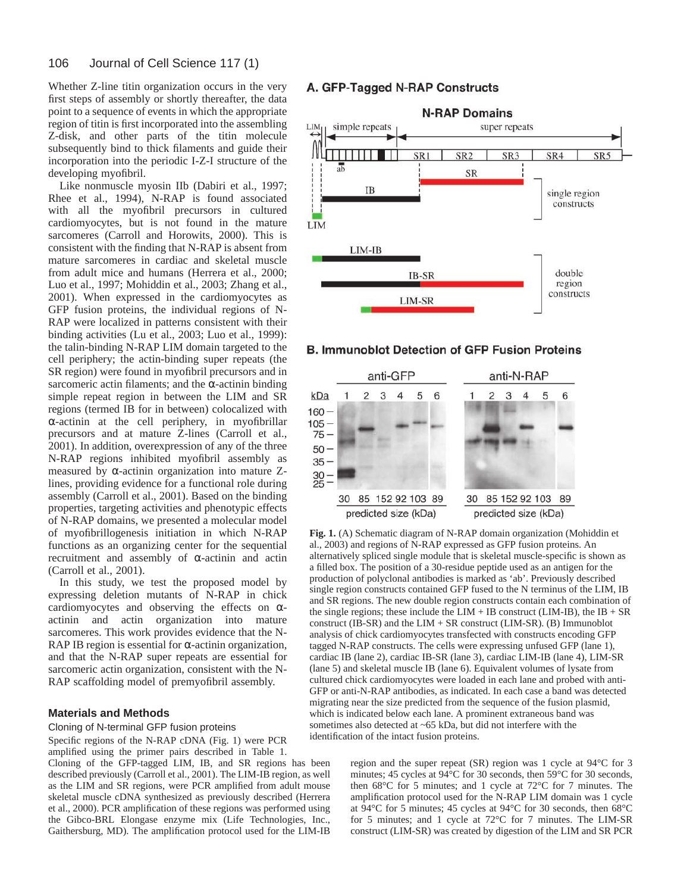Whether Z-line titin organization occurs in the very first steps of assembly or shortly thereafter, the data point to a sequence of events in which the appropriate region of titin is first incorporated into the assembling Z-disk, and other parts of the titin molecule subsequently bind to thick filaments and guide their incorporation into the periodic I-Z-I structure of the developing myofibril.

Like nonmuscle myosin IIb (Dabiri et al., 1997; Rhee et al., 1994), N-RAP is found associated with all the myofibril precursors in cultured cardiomyocytes, but is not found in the mature sarcomeres (Carroll and Horowits, 2000). This is consistent with the finding that N-RAP is absent from mature sarcomeres in cardiac and skeletal muscle from adult mice and humans (Herrera et al., 2000; Luo et al., 1997; Mohiddin et al., 2003; Zhang et al., 2001). When expressed in the cardiomyocytes as GFP fusion proteins, the individual regions of N-RAP were localized in patterns consistent with their binding activities (Lu et al., 2003; Luo et al., 1999): the talin-binding N-RAP LIM domain targeted to the cell periphery; the actin-binding super repeats (the SR region) were found in myofibril precursors and in sarcomeric actin filaments; and the  $\alpha$ -actinin binding simple repeat region in between the LIM and SR regions (termed IB for in between) colocalized with α-actinin at the cell periphery, in myofibrillar precursors and at mature Z-lines (Carroll et al., 2001). In addition, overexpression of any of the three N-RAP regions inhibited myofibril assembly as measured by α-actinin organization into mature Zlines, providing evidence for a functional role during assembly (Carroll et al., 2001). Based on the binding properties, targeting activities and phenotypic effects of N-RAP domains, we presented a molecular model of myofibrillogenesis initiation in which N-RAP functions as an organizing center for the sequential recruitment and assembly of α-actinin and actin (Carroll et al., 2001).

In this study, we test the proposed model by expressing deletion mutants of N-RAP in chick cardiomyocytes and observing the effects on  $\alpha$ actinin and actin organization into mature sarcomeres. This work provides evidence that the N-RAP IB region is essential for  $\alpha$ -actinin organization, and that the N-RAP super repeats are essential for sarcomeric actin organization, consistent with the N-RAP scaffolding model of premyofibril assembly.

# **Materials and Methods**

Cloning of N-terminal GFP fusion proteins

Specific regions of the N-RAP cDNA (Fig. 1) were PCR amplified using the primer pairs described in Table 1.

Cloning of the GFP-tagged LIM, IB, and SR regions has been described previously (Carroll et al., 2001). The LIM-IB region, as well as the LIM and SR regions, were PCR amplified from adult mouse skeletal muscle cDNA synthesized as previously described (Herrera et al., 2000). PCR amplification of these regions was performed using the Gibco-BRL Elongase enzyme mix (Life Technologies, Inc., Gaithersburg, MD). The amplification protocol used for the LIM-IB

# A. GFP-Tagged N-RAP Constructs



# **B. Immunoblot Detection of GFP Fusion Proteins**



**Fig. 1.** (A) Schematic diagram of N-RAP domain organization (Mohiddin et al., 2003) and regions of N-RAP expressed as GFP fusion proteins. An alternatively spliced single module that is skeletal muscle-specific is shown as a filled box. The position of a 30-residue peptide used as an antigen for the production of polyclonal antibodies is marked as 'ab'. Previously described single region constructs contained GFP fused to the N terminus of the LIM, IB and SR regions. The new double region constructs contain each combination of the single regions; these include the  $LIM + IB$  construct ( $LIM-IB$ ), the  $IB + SR$ construct (IB-SR) and the LIM + SR construct (LIM-SR). (B) Immunoblot analysis of chick cardiomyocytes transfected with constructs encoding GFP tagged N-RAP constructs. The cells were expressing unfused GFP (lane 1), cardiac IB (lane 2), cardiac IB-SR (lane 3), cardiac LIM-IB (lane 4), LIM-SR (lane 5) and skeletal muscle IB (lane 6). Equivalent volumes of lysate from cultured chick cardiomyocytes were loaded in each lane and probed with anti-GFP or anti-N-RAP antibodies, as indicated. In each case a band was detected migrating near the size predicted from the sequence of the fusion plasmid, which is indicated below each lane. A prominent extraneous band was sometimes also detected at ~65 kDa, but did not interfere with the identification of the intact fusion proteins.

> region and the super repeat (SR) region was 1 cycle at 94°C for 3 minutes; 45 cycles at 94°C for 30 seconds, then 59°C for 30 seconds, then 68°C for 5 minutes; and 1 cycle at 72°C for 7 minutes. The amplification protocol used for the N-RAP LIM domain was 1 cycle at 94°C for 5 minutes; 45 cycles at 94°C for 30 seconds, then 68°C for 5 minutes; and 1 cycle at 72°C for 7 minutes. The LIM-SR construct (LIM-SR) was created by digestion of the LIM and SR PCR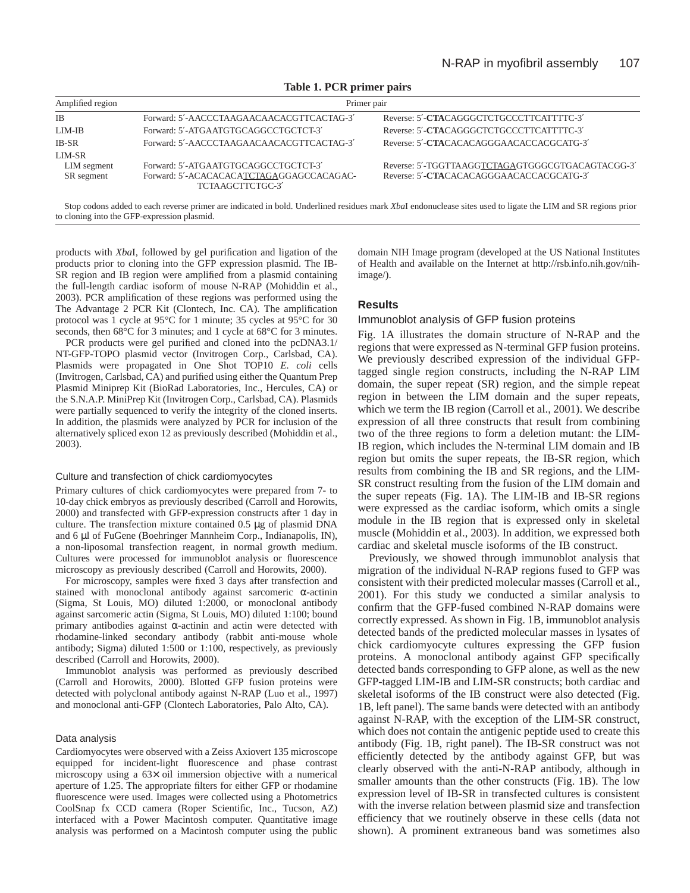| Amplified region<br><b>IB</b> | Primer pair                                                  |                                                  |  |
|-------------------------------|--------------------------------------------------------------|--------------------------------------------------|--|
|                               | Forward: 5'-AACCCTAAGAACAACACGTTCACTAG-3'                    | Reverse: 5'-CTACAGGGCTCTGCCCTTCATTTTC-3'         |  |
| LIM-IB                        | Forward: 5'-ATGAATGTGCAGGCCTGCTCT-3'                         | Reverse: 5'-CTACAGGGCTCTGCCCTTCATTTTC-3'         |  |
| IB-SR                         | Forward: 5'-AACCCTAAGAACAACACGTTCACTAG-3'                    | Reverse: 5'-CTACACACAGGGAACACCACGCATG-3'         |  |
| LIM-SR                        |                                                              |                                                  |  |
| LIM segment                   | Forward: 5'-ATGAATGTGCAGGCCTGCTCT-3'                         | Reverse: 5'-TGGTTAAGGTCTAGAGTGGGCGTGACAGTACGG-3' |  |
| SR segment                    | Forward: 5'-ACACACACATCTAGAGGAGCCACAGAC-<br>TCTAAGCTTCTGC-3' | Reverse: 5'-CTACACACAGGGAACACCACGCATG-3'         |  |

**Table 1. PCR primer pairs**

Stop codons added to each reverse primer are indicated in bold. Underlined residues mark *Xba*I endonuclease sites used to ligate the LIM and SR regions prior to cloning into the GFP-expression plasmid.

products with *Xba*I, followed by gel purification and ligation of the products prior to cloning into the GFP expression plasmid. The IB-SR region and IB region were amplified from a plasmid containing the full-length cardiac isoform of mouse N-RAP (Mohiddin et al., 2003). PCR amplification of these regions was performed using the The Advantage 2 PCR Kit (Clontech, Inc. CA). The amplification protocol was 1 cycle at 95°C for 1 minute; 35 cycles at 95°C for 30 seconds, then 68°C for 3 minutes; and 1 cycle at 68°C for 3 minutes.

PCR products were gel purified and cloned into the pcDNA3.1/ NT-GFP-TOPO plasmid vector (Invitrogen Corp., Carlsbad, CA). Plasmids were propagated in One Shot TOP10 *E. coli* cells (Invitrogen, Carlsbad, CA) and purified using either the Quantum Prep Plasmid Miniprep Kit (BioRad Laboratories, Inc., Hercules, CA) or the S.N.A.P. MiniPrep Kit (Invitrogen Corp., Carlsbad, CA). Plasmids were partially sequenced to verify the integrity of the cloned inserts. In addition, the plasmids were analyzed by PCR for inclusion of the alternatively spliced exon 12 as previously described (Mohiddin et al., 2003).

# Culture and transfection of chick cardiomyocytes

Primary cultures of chick cardiomyocytes were prepared from 7- to 10-day chick embryos as previously described (Carroll and Horowits, 2000) and transfected with GFP-expression constructs after 1 day in culture. The transfection mixture contained 0.5 µg of plasmid DNA and 6 µl of FuGene (Boehringer Mannheim Corp., Indianapolis, IN), a non-liposomal transfection reagent, in normal growth medium. Cultures were processed for immunoblot analysis or fluorescence microscopy as previously described (Carroll and Horowits, 2000).

For microscopy, samples were fixed 3 days after transfection and stained with monoclonal antibody against sarcomeric  $\alpha$ -actinin (Sigma, St Louis, MO) diluted 1:2000, or monoclonal antibody against sarcomeric actin (Sigma, St Louis, MO) diluted 1:100; bound primary antibodies against α-actinin and actin were detected with rhodamine-linked secondary antibody (rabbit anti-mouse whole antibody; Sigma) diluted 1:500 or 1:100, respectively, as previously described (Carroll and Horowits, 2000).

Immunoblot analysis was performed as previously described (Carroll and Horowits, 2000). Blotted GFP fusion proteins were detected with polyclonal antibody against N-RAP (Luo et al., 1997) and monoclonal anti-GFP (Clontech Laboratories, Palo Alto, CA).

# Data analysis

Cardiomyocytes were observed with a Zeiss Axiovert 135 microscope equipped for incident-light fluorescence and phase contrast microscopy using a 63× oil immersion objective with a numerical aperture of 1.25. The appropriate filters for either GFP or rhodamine fluorescence were used. Images were collected using a Photometrics CoolSnap fx CCD camera (Roper Scientific, Inc., Tucson, AZ) interfaced with a Power Macintosh computer. Quantitative image analysis was performed on a Macintosh computer using the public domain NIH Image program (developed at the US National Institutes of Health and available on the Internet at http://rsb.info.nih.gov/nihimage/).

# **Results**

# Immunoblot analysis of GFP fusion proteins

Fig. 1A illustrates the domain structure of N-RAP and the regions that were expressed as N-terminal GFP fusion proteins. We previously described expression of the individual GFPtagged single region constructs, including the N-RAP LIM domain, the super repeat (SR) region, and the simple repeat region in between the LIM domain and the super repeats, which we term the IB region (Carroll et al., 2001). We describe expression of all three constructs that result from combining two of the three regions to form a deletion mutant: the LIM-IB region, which includes the N-terminal LIM domain and IB region but omits the super repeats, the IB-SR region, which results from combining the IB and SR regions, and the LIM-SR construct resulting from the fusion of the LIM domain and the super repeats (Fig. 1A). The LIM-IB and IB-SR regions were expressed as the cardiac isoform, which omits a single module in the IB region that is expressed only in skeletal muscle (Mohiddin et al., 2003). In addition, we expressed both cardiac and skeletal muscle isoforms of the IB construct.

Previously, we showed through immunoblot analysis that migration of the individual N-RAP regions fused to GFP was consistent with their predicted molecular masses (Carroll et al., 2001). For this study we conducted a similar analysis to confirm that the GFP-fused combined N-RAP domains were correctly expressed. As shown in Fig. 1B, immunoblot analysis detected bands of the predicted molecular masses in lysates of chick cardiomyocyte cultures expressing the GFP fusion proteins. A monoclonal antibody against GFP specifically detected bands corresponding to GFP alone, as well as the new GFP-tagged LIM-IB and LIM-SR constructs; both cardiac and skeletal isoforms of the IB construct were also detected (Fig. 1B, left panel). The same bands were detected with an antibody against N-RAP, with the exception of the LIM-SR construct, which does not contain the antigenic peptide used to create this antibody (Fig. 1B, right panel). The IB-SR construct was not efficiently detected by the antibody against GFP, but was clearly observed with the anti-N-RAP antibody, although in smaller amounts than the other constructs (Fig. 1B). The low expression level of IB-SR in transfected cultures is consistent with the inverse relation between plasmid size and transfection efficiency that we routinely observe in these cells (data not shown). A prominent extraneous band was sometimes also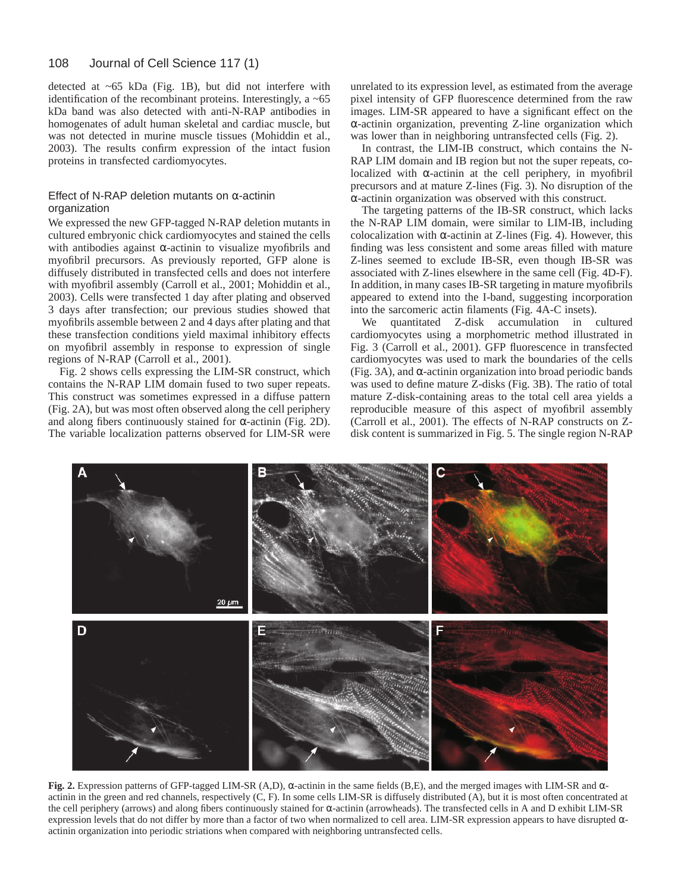#### 108 Journal of Cell Science 117 (1)

detected at ~65 kDa (Fig. 1B), but did not interfere with identification of the recombinant proteins. Interestingly, a ~65 kDa band was also detected with anti-N-RAP antibodies in homogenates of adult human skeletal and cardiac muscle, but was not detected in murine muscle tissues (Mohiddin et al., 2003). The results confirm expression of the intact fusion proteins in transfected cardiomyocytes.

# Effect of N-RAP deletion mutants on  $\alpha$ -actinin organization

We expressed the new GFP-tagged N-RAP deletion mutants in cultured embryonic chick cardiomyocytes and stained the cells with antibodies against  $\alpha$ -actinin to visualize myofibrils and myofibril precursors. As previously reported, GFP alone is diffusely distributed in transfected cells and does not interfere with myofibril assembly (Carroll et al., 2001; Mohiddin et al., 2003). Cells were transfected 1 day after plating and observed 3 days after transfection; our previous studies showed that myofibrils assemble between 2 and 4 days after plating and that these transfection conditions yield maximal inhibitory effects on myofibril assembly in response to expression of single regions of N-RAP (Carroll et al., 2001).

Fig. 2 shows cells expressing the LIM-SR construct, which contains the N-RAP LIM domain fused to two super repeats. This construct was sometimes expressed in a diffuse pattern (Fig. 2A), but was most often observed along the cell periphery and along fibers continuously stained for  $\alpha$ -actinin (Fig. 2D). The variable localization patterns observed for LIM-SR were

unrelated to its expression level, as estimated from the average pixel intensity of GFP fluorescence determined from the raw images. LIM-SR appeared to have a significant effect on the α-actinin organization, preventing Z-line organization which was lower than in neighboring untransfected cells (Fig. 2).

In contrast, the LIM-IB construct, which contains the N-RAP LIM domain and IB region but not the super repeats, colocalized with α-actinin at the cell periphery, in myofibril precursors and at mature Z-lines (Fig. 3). No disruption of the α-actinin organization was observed with this construct.

The targeting patterns of the IB-SR construct, which lacks the N-RAP LIM domain, were similar to LIM-IB, including colocalization with  $\alpha$ -actinin at Z-lines (Fig. 4). However, this finding was less consistent and some areas filled with mature Z-lines seemed to exclude IB-SR, even though IB-SR was associated with Z-lines elsewhere in the same cell (Fig. 4D-F). In addition, in many cases IB-SR targeting in mature myofibrils appeared to extend into the I-band, suggesting incorporation into the sarcomeric actin filaments (Fig. 4A-C insets).

We quantitated Z-disk accumulation in cultured cardiomyocytes using a morphometric method illustrated in Fig. 3 (Carroll et al., 2001). GFP fluorescence in transfected cardiomyocytes was used to mark the boundaries of the cells (Fig. 3A), and  $\alpha$ -actinin organization into broad periodic bands was used to define mature Z-disks (Fig. 3B). The ratio of total mature Z-disk-containing areas to the total cell area yields a reproducible measure of this aspect of myofibril assembly (Carroll et al., 2001). The effects of N-RAP constructs on Zdisk content is summarized in Fig. 5. The single region N-RAP



**Fig. 2.** Expression patterns of GFP-tagged LIM-SR (A,D), α-actinin in the same fields (B,E), and the merged images with LIM-SR and αactinin in the green and red channels, respectively (C, F). In some cells LIM-SR is diffusely distributed (A), but it is most often concentrated at the cell periphery (arrows) and along fibers continuously stained for α-actinin (arrowheads). The transfected cells in A and D exhibit LIM-SR expression levels that do not differ by more than a factor of two when normalized to cell area. LIM-SR expression appears to have disrupted αactinin organization into periodic striations when compared with neighboring untransfected cells.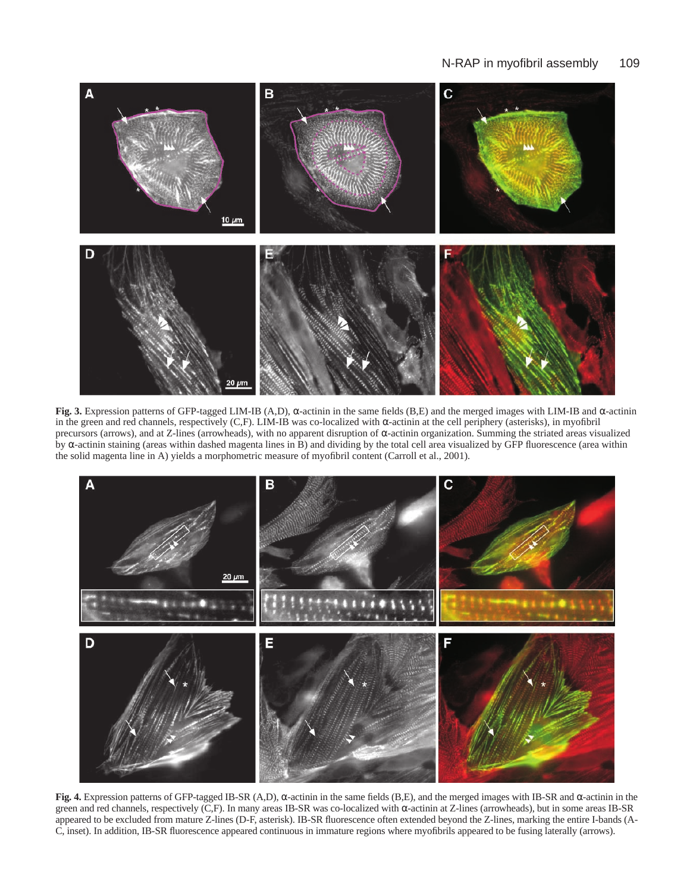

**Fig. 3.** Expression patterns of GFP-tagged LIM-IB (A,D), α-actinin in the same fields (B,E) and the merged images with LIM-IB and α-actinin in the green and red channels, respectively (C,F). LIM-IB was co-localized with α-actinin at the cell periphery (asterisks), in myofibril precursors (arrows), and at Z-lines (arrowheads), with no apparent disruption of α-actinin organization. Summing the striated areas visualized by α-actinin staining (areas within dashed magenta lines in B) and dividing by the total cell area visualized by GFP fluorescence (area within the solid magenta line in A) yields a morphometric measure of myofibril content (Carroll et al., 2001).



**Fig. 4.** Expression patterns of GFP-tagged IB-SR (A,D), α-actinin in the same fields (B,E), and the merged images with IB-SR and α-actinin in the green and red channels, respectively (C,F). In many areas IB-SR was co-localized with α-actinin at Z-lines (arrowheads), but in some areas IB-SR appeared to be excluded from mature Z-lines (D-F, asterisk). IB-SR fluorescence often extended beyond the Z-lines, marking the entire I-bands (A-C, inset). In addition, IB-SR fluorescence appeared continuous in immature regions where myofibrils appeared to be fusing laterally (arrows).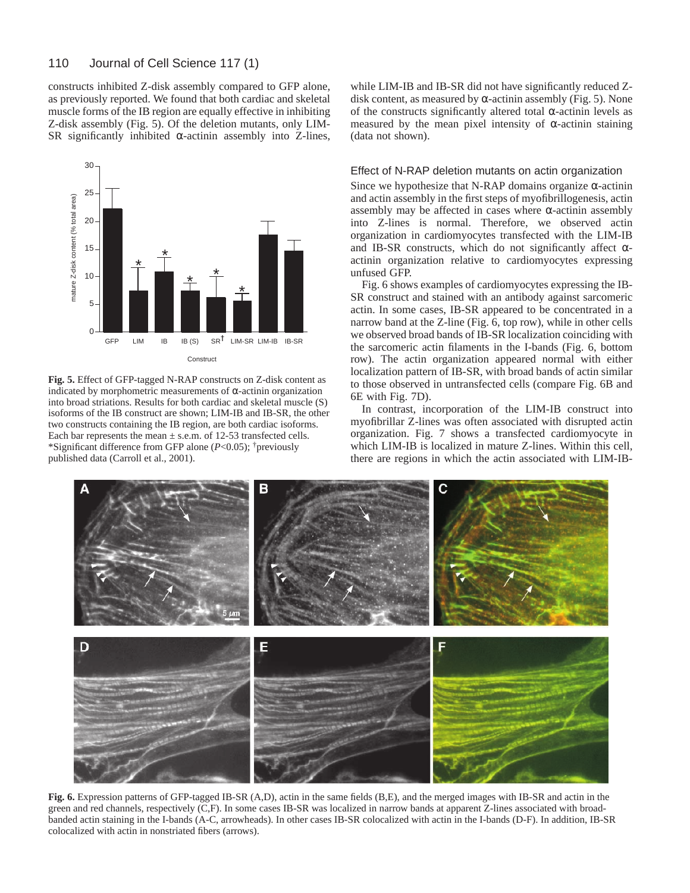constructs inhibited Z-disk assembly compared to GFP alone, as previously reported. We found that both cardiac and skeletal muscle forms of the IB region are equally effective in inhibiting Z-disk assembly (Fig. 5). Of the deletion mutants, only LIM-SR significantly inhibited  $\alpha$ -actinin assembly into Z-lines,



**Fig. 5.** Effect of GFP-tagged N-RAP constructs on Z-disk content as indicated by morphometric measurements of α-actinin organization into broad striations. Results for both cardiac and skeletal muscle (S) isoforms of the IB construct are shown; LIM-IB and IB-SR, the other two constructs containing the IB region, are both cardiac isoforms. Each bar represents the mean  $\pm$  s.e.m. of 12-53 transfected cells. \*Significant difference from GFP alone (*P*<0.05); †previously published data (Carroll et al., 2001).

while LIM-IB and IB-SR did not have significantly reduced Zdisk content, as measured by  $\alpha$ -actinin assembly (Fig. 5). None of the constructs significantly altered total α-actinin levels as measured by the mean pixel intensity of  $\alpha$ -actinin staining (data not shown).

# Effect of N-RAP deletion mutants on actin organization

Since we hypothesize that N-RAP domains organize  $\alpha$ -actinin and actin assembly in the first steps of myofibrillogenesis, actin assembly may be affected in cases where  $\alpha$ -actinin assembly into Z-lines is normal. Therefore, we observed actin organization in cardiomyocytes transfected with the LIM-IB and IB-SR constructs, which do not significantly affect  $\alpha$ actinin organization relative to cardiomyocytes expressing unfused GFP.

Fig. 6 shows examples of cardiomyocytes expressing the IB-SR construct and stained with an antibody against sarcomeric actin. In some cases, IB-SR appeared to be concentrated in a narrow band at the Z-line (Fig. 6, top row), while in other cells we observed broad bands of IB-SR localization coinciding with the sarcomeric actin filaments in the I-bands (Fig. 6, bottom row). The actin organization appeared normal with either localization pattern of IB-SR, with broad bands of actin similar to those observed in untransfected cells (compare Fig. 6B and 6E with Fig. 7D).

In contrast, incorporation of the LIM-IB construct into myofibrillar Z-lines was often associated with disrupted actin organization. Fig. 7 shows a transfected cardiomyocyte in which LIM-IB is localized in mature Z-lines. Within this cell, there are regions in which the actin associated with LIM-IB-



**Fig. 6.** Expression patterns of GFP-tagged IB-SR (A,D), actin in the same fields (B,E), and the merged images with IB-SR and actin in the green and red channels, respectively (C,F). In some cases IB-SR was localized in narrow bands at apparent Z-lines associated with broadbanded actin staining in the I-bands (A-C, arrowheads). In other cases IB-SR colocalized with actin in the I-bands (D-F). In addition, IB-SR colocalized with actin in nonstriated fibers (arrows).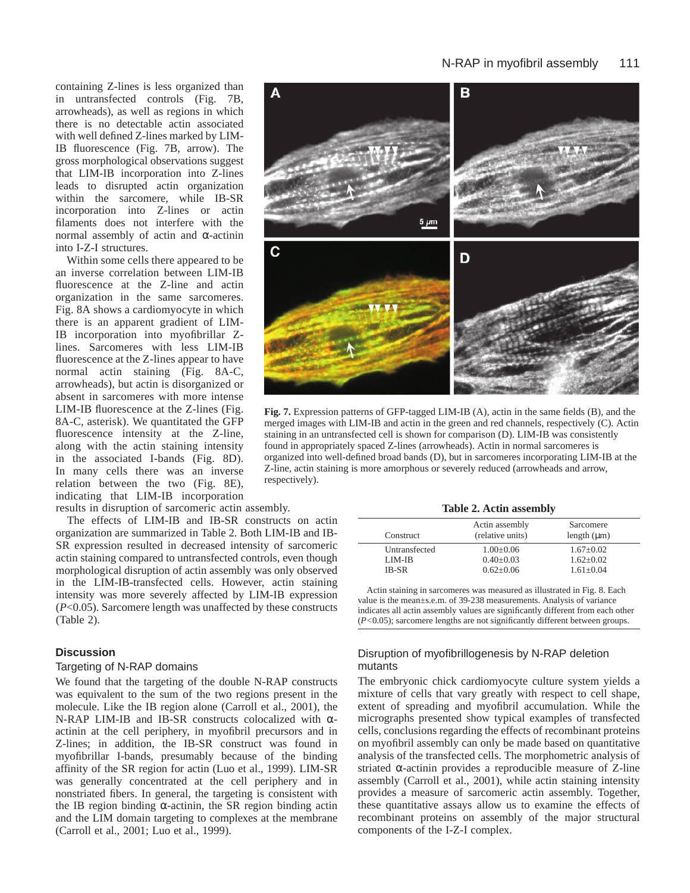# N-RAP in myofibril assembly 111

containing Z-lines is less organized than in untransfected controls (Fig. 7B, arrowheads), as well as regions in which there is no detectable actin associated with well defined Z-lines marked by LIM-IB fluorescence (Fig. 7B, arrow). The gross morphological observations suggest that LIM-IB incorporation into Z-lines leads to disrupted actin organization within the sarcomere, while IB-SR incorporation into Z-lines or actin filaments does not interfere with the normal assembly of actin and α-actinin into I-Z-I structures.

Within some cells there appeared to be an inverse correlation between LIM-IB fluorescence at the Z-line and actin organization in the same sarcomeres. Fig. 8A shows a cardiomyocyte in which there is an apparent gradient of LIM-IB incorporation into myofibrillar Zlines. Sarcomeres with less LIM-IB fluorescence at the Z-lines appear to have normal actin staining (Fig. 8A-C, arrowheads), but actin is disorganized or absent in sarcomeres with more intense LIM-IB fluorescence at the Z-lines (Fig. 8A-C, asterisk). We quantitated the GFP fluorescence intensity at the Z-line, along with the actin staining intensity in the associated I-bands (Fig. 8D). In many cells there was an inverse relation between the two (Fig. 8E), indicating that LIM-IB incorporation results in disruption of sarcomeric actin assembly.

The effects of LIM-IB and IB-SR constructs on actin organization are summarized in Table 2. Both LIM-IB and IB-SR expression resulted in decreased intensity of sarcomeric actin staining compared to untransfected controls, even though morphological disruption of actin assembly was only observed in the LIM-IB-transfected cells. However, actin staining intensity was more severely affected by LIM-IB expression (*P*<0.05). Sarcomere length was unaffected by these constructs (Table 2).

# **Discussion**

#### Targeting of N-RAP domains

We found that the targeting of the double N-RAP constructs was equivalent to the sum of the two regions present in the molecule. Like the IB region alone (Carroll et al., 2001), the N-RAP LIM-IB and IB-SR constructs colocalized with αactinin at the cell periphery, in myofibril precursors and in Z-lines; in addition, the IB-SR construct was found in myofibrillar I-bands, presumably because of the binding affinity of the SR region for actin (Luo et al., 1999). LIM-SR was generally concentrated at the cell periphery and in nonstriated fibers. In general, the targeting is consistent with the IB region binding  $\alpha$ -actinin, the SR region binding actin and the LIM domain targeting to complexes at the membrane (Carroll et al., 2001; Luo et al., 1999).



**Fig. 7.** Expression patterns of GFP-tagged LIM-IB (A), actin in the same fields (B), and the merged images with LIM-IB and actin in the green and red channels, respectively (C). Actin staining in an untransfected cell is shown for comparison (D). LIM-IB was consistently found in appropriately spaced Z-lines (arrowheads). Actin in normal sarcomeres is organized into well-defined broad bands (D), but in sarcomeres incorporating LIM-IB at the Z-line, actin staining is more amorphous or severely reduced (arrowheads and arrow, respectively).

|  |  |  | Table 2. Actin assembly |
|--|--|--|-------------------------|
|--|--|--|-------------------------|

| Construct     | Actin assembly<br>(relative units) | Sarcomere<br>length $(\mu m)$ |
|---------------|------------------------------------|-------------------------------|
| Untransfected | $1.00 \pm 0.06$                    | $1.67 \pm 0.02$               |
| LIM-IB        | $0.40 \pm 0.03$                    | $1.62 \pm 0.02$               |
| <b>IB-SR</b>  | $0.62+0.06$                        | $1.61 \pm 0.04$               |

Actin staining in sarcomeres was measured as illustrated in Fig. 8. Each value is the mean±s.e.m. of 39-238 measurements. Analysis of variance indicates all actin assembly values are significantly different from each other (*P<*0.05); sarcomere lengths are not significantly different between groups.

# Disruption of myofibrillogenesis by N-RAP deletion mutants

The embryonic chick cardiomyocyte culture system yields a mixture of cells that vary greatly with respect to cell shape, extent of spreading and myofibril accumulation. While the micrographs presented show typical examples of transfected cells, conclusions regarding the effects of recombinant proteins on myofibril assembly can only be made based on quantitative analysis of the transfected cells. The morphometric analysis of striated  $\alpha$ -actinin provides a reproducible measure of Z-line assembly (Carroll et al., 2001), while actin staining intensity provides a measure of sarcomeric actin assembly. Together, these quantitative assays allow us to examine the effects of recombinant proteins on assembly of the major structural components of the I-Z-I complex.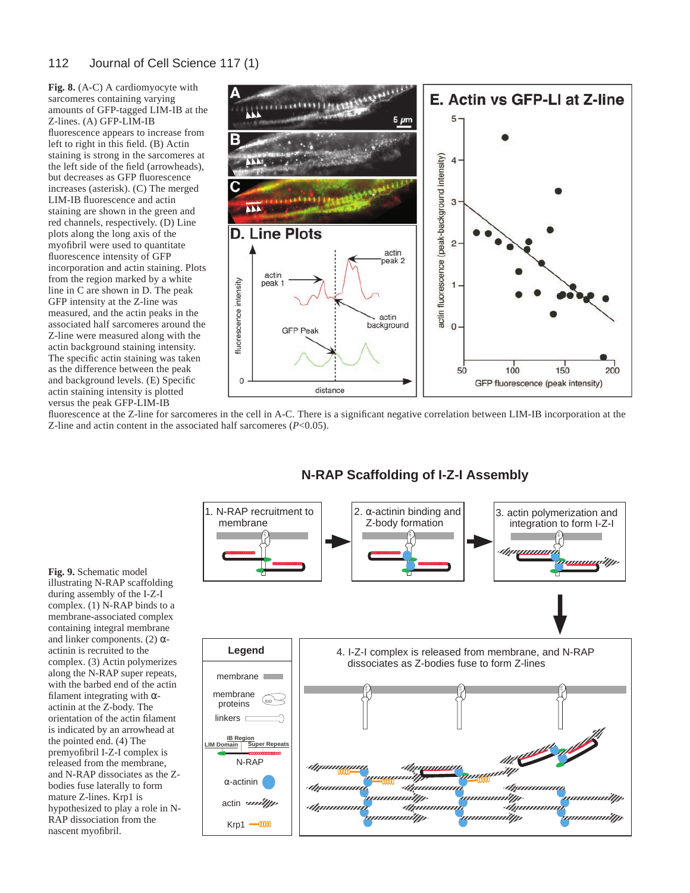# 112 Journal of Cell Science 117 (1)

**Fig. 8.** (A-C) A cardiomyocyte with sarcomeres containing varying amounts of GFP-tagged LIM-IB at the Z-lines. (A) GFP-LIM-IB fluorescence appears to increase from left to right in this field. (B) Actin staining is strong in the sarcomeres at the left side of the field (arrowheads), but decreases as GFP fluorescence increases (asterisk). (C) The merged LIM-IB fluorescence and actin staining are shown in the green and red channels, respectively. (D) Line plots along the long axis of the myofibril were used to quantitate fluorescence intensity of GFP incorporation and actin staining. Plots from the region marked by a white line in C are shown in D. The peak GFP intensity at the Z-line was measured, and the actin peaks in the associated half sarcomeres around the Z-line were measured along with the actin background staining intensity. The specific actin staining was taken as the difference between the peak and background levels. (E) Specific actin staining intensity is plotted versus the peak GFP-LIM-IB



fluorescence at the Z-line for sarcomeres in the cell in A-C. There is a significant negative correlation between LIM-IB incorporation at the Z-line and actin content in the associated half sarcomeres (*P*<0.05).



# **N-RAP Scaffolding of I-Z-I Assembly**

**Fig. 9.** Schematic model illustrating N-RAP scaffolding during assembly of the I-Z-I complex. (1) N-RAP binds to a membrane-associated complex containing integral membrane and linker components. (2)  $\alpha$ actinin is recruited to the complex. (3) Actin polymerizes along the N-RAP super repeats, with the barbed end of the actin filament integrating with  $\alpha$ actinin at the Z-body. The orientation of the actin filament is indicated by an arrowhead at the pointed end. (4) The premyofibril I-Z-I complex is released from the membrane, and N-RAP dissociates as the Zbodies fuse laterally to form mature Z-lines. Krp1 is hypothesized to play a role in N-RAP dissociation from the nascent myofibril.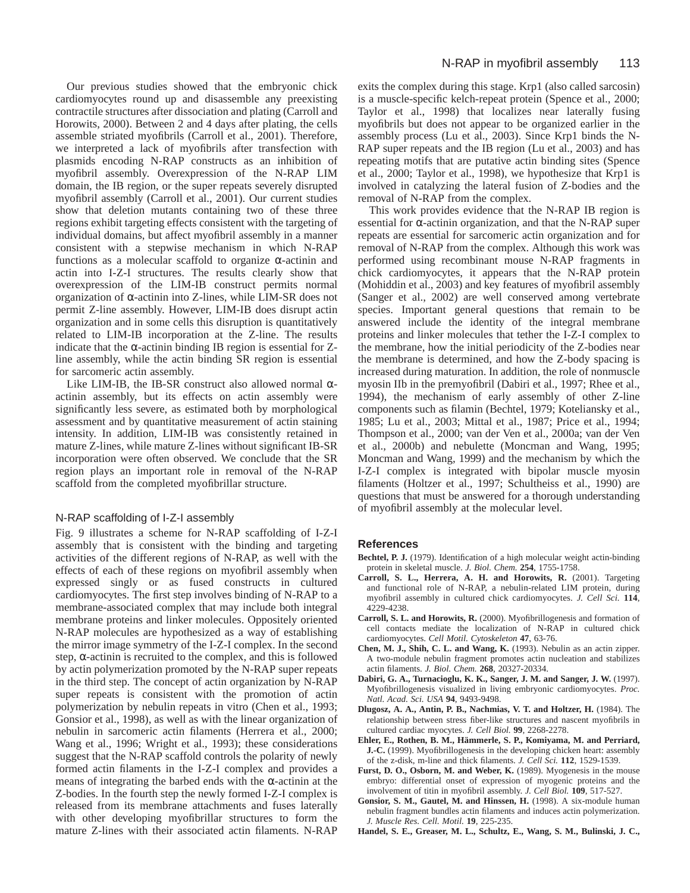Our previous studies showed that the embryonic chick cardiomyocytes round up and disassemble any preexisting contractile structures after dissociation and plating (Carroll and Horowits, 2000). Between 2 and 4 days after plating, the cells assemble striated myofibrils (Carroll et al., 2001). Therefore, we interpreted a lack of myofibrils after transfection with plasmids encoding N-RAP constructs as an inhibition of myofibril assembly. Overexpression of the N-RAP LIM domain, the IB region, or the super repeats severely disrupted myofibril assembly (Carroll et al., 2001). Our current studies show that deletion mutants containing two of these three regions exhibit targeting effects consistent with the targeting of individual domains, but affect myofibril assembly in a manner consistent with a stepwise mechanism in which N-RAP functions as a molecular scaffold to organize α-actinin and actin into I-Z-I structures. The results clearly show that overexpression of the LIM-IB construct permits normal organization of α-actinin into Z-lines, while LIM-SR does not permit Z-line assembly. However, LIM-IB does disrupt actin organization and in some cells this disruption is quantitatively related to LIM-IB incorporation at the Z-line. The results indicate that the  $\alpha$ -actinin binding IB region is essential for Zline assembly, while the actin binding SR region is essential for sarcomeric actin assembly.

Like LIM-IB, the IB-SR construct also allowed normal  $\alpha$ actinin assembly, but its effects on actin assembly were significantly less severe, as estimated both by morphological assessment and by quantitative measurement of actin staining intensity. In addition, LIM-IB was consistently retained in mature Z-lines, while mature Z-lines without significant IB-SR incorporation were often observed. We conclude that the SR region plays an important role in removal of the N-RAP scaffold from the completed myofibrillar structure.

# N-RAP scaffolding of I-Z-I assembly

Fig. 9 illustrates a scheme for N-RAP scaffolding of I-Z-I assembly that is consistent with the binding and targeting activities of the different regions of N-RAP, as well with the effects of each of these regions on myofibril assembly when expressed singly or as fused constructs in cultured cardiomyocytes. The first step involves binding of N-RAP to a membrane-associated complex that may include both integral membrane proteins and linker molecules. Oppositely oriented N-RAP molecules are hypothesized as a way of establishing the mirror image symmetry of the I-Z-I complex. In the second step,  $\alpha$ -actinin is recruited to the complex, and this is followed by actin polymerization promoted by the N-RAP super repeats in the third step. The concept of actin organization by N-RAP super repeats is consistent with the promotion of actin polymerization by nebulin repeats in vitro (Chen et al., 1993; Gonsior et al., 1998), as well as with the linear organization of nebulin in sarcomeric actin filaments (Herrera et al., 2000; Wang et al., 1996; Wright et al., 1993); these considerations suggest that the N-RAP scaffold controls the polarity of newly formed actin filaments in the I-Z-I complex and provides a means of integrating the barbed ends with the  $\alpha$ -actinin at the Z-bodies. In the fourth step the newly formed I-Z-I complex is released from its membrane attachments and fuses laterally with other developing myofibrillar structures to form the mature Z-lines with their associated actin filaments. N-RAP

exits the complex during this stage. Krp1 (also called sarcosin) is a muscle-specific kelch-repeat protein (Spence et al., 2000; Taylor et al., 1998) that localizes near laterally fusing myofibrils but does not appear to be organized earlier in the assembly process (Lu et al., 2003). Since Krp1 binds the N-RAP super repeats and the IB region (Lu et al., 2003) and has repeating motifs that are putative actin binding sites (Spence et al., 2000; Taylor et al., 1998), we hypothesize that Krp1 is involved in catalyzing the lateral fusion of Z-bodies and the removal of N-RAP from the complex.

This work provides evidence that the N-RAP IB region is essential for α-actinin organization, and that the N-RAP super repeats are essential for sarcomeric actin organization and for removal of N-RAP from the complex. Although this work was performed using recombinant mouse N-RAP fragments in chick cardiomyocytes, it appears that the N-RAP protein (Mohiddin et al., 2003) and key features of myofibril assembly (Sanger et al., 2002) are well conserved among vertebrate species. Important general questions that remain to be answered include the identity of the integral membrane proteins and linker molecules that tether the I-Z-I complex to the membrane, how the initial periodicity of the Z-bodies near the membrane is determined, and how the Z-body spacing is increased during maturation. In addition, the role of nonmuscle myosin IIb in the premyofibril (Dabiri et al., 1997; Rhee et al., 1994), the mechanism of early assembly of other Z-line components such as filamin (Bechtel, 1979; Koteliansky et al., 1985; Lu et al., 2003; Mittal et al., 1987; Price et al., 1994; Thompson et al., 2000; van der Ven et al., 2000a; van der Ven et al., 2000b) and nebulette (Moncman and Wang, 1995; Moncman and Wang, 1999) and the mechanism by which the I-Z-I complex is integrated with bipolar muscle myosin filaments (Holtzer et al., 1997; Schultheiss et al., 1990) are questions that must be answered for a thorough understanding of myofibril assembly at the molecular level.

# **References**

- **Bechtel, P. J.** (1979). Identification of a high molecular weight actin-binding protein in skeletal muscle. *J. Biol. Chem.* **254**, 1755-1758.
- **Carroll, S. L., Herrera, A. H. and Horowits, R.** (2001). Targeting and functional role of N-RAP, a nebulin-related LIM protein, during myofibril assembly in cultured chick cardiomyocytes. *J. Cell Sci.* **114**, 4229-4238.
- **Carroll, S. L. and Horowits, R.** (2000). Myofibrillogenesis and formation of cell contacts mediate the localization of N-RAP in cultured chick cardiomyocytes. *Cell Motil. Cytoskeleton* **47**, 63-76.
- **Chen, M. J., Shih, C. L. and Wang, K.** (1993). Nebulin as an actin zipper. A two-module nebulin fragment promotes actin nucleation and stabilizes actin filaments. *J. Biol. Chem.* **268**, 20327-20334.
- **Dabiri, G. A., Turnacioglu, K. K., Sanger, J. M. and Sanger, J. W.** (1997). Myofibrillogenesis visualized in living embryonic cardiomyocytes. *Proc. Natl. Acad. Sci. USA* **94**, 9493-9498.
- **Dlugosz, A. A., Antin, P. B., Nachmias, V. T. and Holtzer, H.** (1984). The relationship between stress fiber-like structures and nascent myofibrils in cultured cardiac myocytes. *J. Cell Biol.* **99**, 2268-2278.
- **Ehler, E., Rothen, B. M., Hämmerle, S. P., Komiyama, M. and Perriard, J.-C.** (1999). Myofibrillogenesis in the developing chicken heart: assembly of the z-disk, m-line and thick filaments. *J. Cell Sci.* **112**, 1529-1539.
- **Furst, D. O., Osborn, M. and Weber, K.** (1989). Myogenesis in the mouse embryo: differential onset of expression of myogenic proteins and the involvement of titin in myofibril assembly. *J. Cell Biol.* **109**, 517-527.
- **Gonsior, S. M., Gautel, M. and Hinssen, H.** (1998). A six-module human nebulin fragment bundles actin filaments and induces actin polymerization. *J. Muscle Res. Cell. Motil.* **19**, 225-235.
- **Handel, S. E., Greaser, M. L., Schultz, E., Wang, S. M., Bulinski, J. C.,**